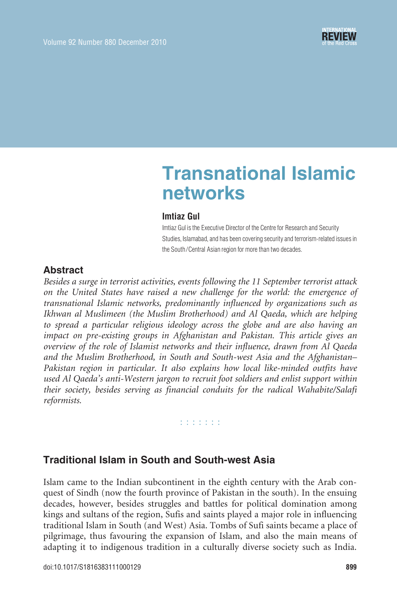

# Transnational Islamic networks

## Imtiaz Gul

Imtiaz Gul is the Executive Director of the Centre for Research and Security Studies, Islamabad, and has been covering security and terrorism-related issues in the South/Central Asian region for more than two decades.

# **Abstract**

Besides a surge in terrorist activities, events following the 11 September terrorist attack on the United States have raised a new challenge for the world: the emergence of transnational Islamic networks, predominantly influenced by organizations such as Ikhwan al Muslimeen (the Muslim Brotherhood) and Al Qaeda, which are helping to spread a particular religious ideology across the globe and are also having an impact on pre-existing groups in Afghanistan and Pakistan. This article gives an overview of the role of Islamist networks and their influence, drawn from Al Qaeda and the Muslim Brotherhood, in South and South-west Asia and the Afghanistan– Pakistan region in particular. It also explains how local like-minded outfits have used Al Qaeda's anti-Western jargon to recruit foot soldiers and enlist support within their society, besides serving as financial conduits for the radical Wahabite/Salafi reformists.

## **Editoria**

# Traditional Islam in South and South-west Asia

Islam came to the Indian subcontinent in the eighth century with the Arab conquest of Sindh (now the fourth province of Pakistan in the south). In the ensuing decades, however, besides struggles and battles for political domination among kings and sultans of the region, Sufis and saints played a major role in influencing traditional Islam in South (and West) Asia. Tombs of Sufi saints became a place of pilgrimage, thus favouring the expansion of Islam, and also the main means of adapting it to indigenous tradition in a culturally diverse society such as India.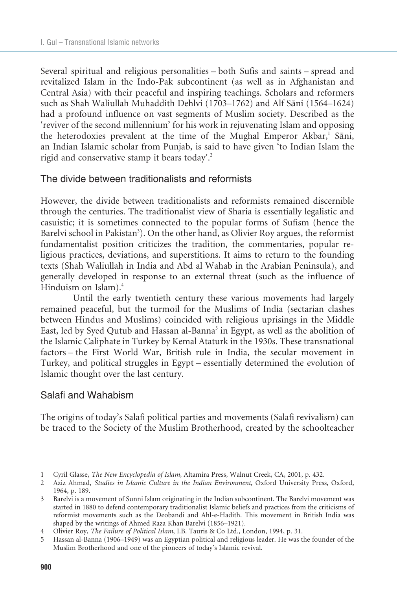Several spiritual and religious personalities – both Sufis and saints – spread and revitalized Islam in the Indo-Pak subcontinent (as well as in Afghanistan and Central Asia) with their peaceful and inspiring teachings. Scholars and reformers such as Shah Waliullah Muhaddith Dehlvi (1703–1762) and Alf Sāni (1564–1624) had a profound influence on vast segments of Muslim society. Described as the 'reviver of the second millennium' for his work in rejuvenating Islam and opposing the heterodoxies prevalent at the time of the Mughal Emperor Akbar,<sup>1</sup> Sāni, an Indian Islamic scholar from Punjab, is said to have given 'to Indian Islam the rigid and conservative stamp it bears today'.2

## The divide between traditionalists and reformists

However, the divide between traditionalists and reformists remained discernible through the centuries. The traditionalist view of Sharia is essentially legalistic and casuistic; it is sometimes connected to the popular forms of Sufism (hence the Barelvi school in Pakistan<sup>3</sup>). On the other hand, as Olivier Roy argues, the reformist fundamentalist position criticizes the tradition, the commentaries, popular religious practices, deviations, and superstitions. It aims to return to the founding texts (Shah Waliullah in India and Abd al Wahab in the Arabian Peninsula), and generally developed in response to an external threat (such as the influence of Hinduism on Islam).4

Until the early twentieth century these various movements had largely remained peaceful, but the turmoil for the Muslims of India (sectarian clashes between Hindus and Muslims) coincided with religious uprisings in the Middle East, led by Syed Qutub and Hassan al-Banna<sup>5</sup> in Egypt, as well as the abolition of the Islamic Caliphate in Turkey by Kemal Ataturk in the 1930s. These transnational factors – the First World War, British rule in India, the secular movement in Turkey, and political struggles in Egypt – essentially determined the evolution of Islamic thought over the last century.

## Salafi and Wahabism

The origins of today's Salafi political parties and movements (Salafi revivalism) can be traced to the Society of the Muslim Brotherhood, created by the schoolteacher

<sup>1</sup> Cyril Glasse, The New Encyclopedia of Islam, Altamira Press, Walnut Creek, CA, 2001, p. 432.

<sup>2</sup> Aziz Ahmad, Studies in Islamic Culture in the Indian Environment, Oxford University Press, Oxford, 1964, p. 189.

<sup>3</sup> Barelvi is a movement of Sunni Islam originating in the Indian subcontinent. The Barelvi movement was started in 1880 to defend contemporary traditionalist Islamic beliefs and practices from the criticisms of reformist movements such as the Deobandi and Ahl-e-Hadith. This movement in British India was shaped by the writings of Ahmed Raza Khan Barelvi (1856–1921).

<sup>4</sup> Olivier Roy, The Failure of Political Islam, I.B. Tauris & Co Ltd., London, 1994, p. 31.

<sup>5</sup> Hassan al-Banna (1906–1949) was an Egyptian political and religious leader. He was the founder of the Muslim Brotherhood and one of the pioneers of today's Islamic revival.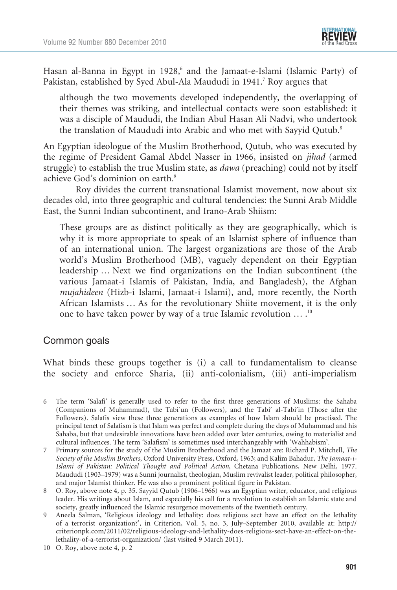Hasan al-Banna in Egypt in 1928,<sup>6</sup> and the Jamaat-e-Islami (Islamic Party) of Pakistan, established by Syed Abul-Ala Maududi in 1941.<sup>7</sup> Roy argues that

although the two movements developed independently, the overlapping of their themes was striking, and intellectual contacts were soon established: it was a disciple of Maududi, the Indian Abul Hasan Ali Nadvi, who undertook the translation of Maududi into Arabic and who met with Sayyid Outub.<sup>8</sup>

An Egyptian ideologue of the Muslim Brotherhood, Qutub, who was executed by the regime of President Gamal Abdel Nasser in 1966, insisted on jihad (armed struggle) to establish the true Muslim state, as dawa (preaching) could not by itself achieve God's dominion on earth.<sup>9</sup>

Roy divides the current transnational Islamist movement, now about six decades old, into three geographic and cultural tendencies: the Sunni Arab Middle East, the Sunni Indian subcontinent, and Irano-Arab Shiism:

These groups are as distinct politically as they are geographically, which is why it is more appropriate to speak of an Islamist sphere of influence than of an international union. The largest organizations are those of the Arab world's Muslim Brotherhood (MB), vaguely dependent on their Egyptian leadership … Next we find organizations on the Indian subcontinent (the various Jamaat-i Islamis of Pakistan, India, and Bangladesh), the Afghan mujahideen (Hizb-i Islami, Jamaat-i Islami), and, more recently, the North African Islamists … As for the revolutionary Shiite movement, it is the only one to have taken power by way of a true Islamic revolution  $\dots$ .<sup>10</sup>

# Common goals

What binds these groups together is (i) a call to fundamentalism to cleanse the society and enforce Sharia, (ii) anti-colonialism, (iii) anti-imperialism

<sup>6</sup> The term 'Salafi' is generally used to refer to the first three generations of Muslims: the Sahaba (Companions of Muhammad), the Tabi'un (Followers), and the Tabi' al-Tabi'in (Those after the Followers). Salafis view these three generations as examples of how Islam should be practised. The principal tenet of Salafism is that Islam was perfect and complete during the days of Muhammad and his Sahaba, but that undesirable innovations have been added over later centuries, owing to materialist and cultural influences. The term 'Salafism' is sometimes used interchangeably with 'Wahhabism'.

<sup>7</sup> Primary sources for the study of the Muslim Brotherhood and the Jamaat are: Richard P. Mitchell, The Society of the Muslim Brothers, Oxford University Press, Oxford, 1963; and Kalim Bahadur, The Jamaat-i-Islami of Pakistan: Political Thought and Political Action, Chetana Publications, New Delhi, 1977. Maududi (1903–1979) was a Sunni journalist, theologian, Muslim revivalist leader, political philosopher, and major Islamist thinker. He was also a prominent political figure in Pakistan.

<sup>8</sup> O. Roy, above note 4, p. 35. Sayyid Qutub (1906–1966) was an Egyptian writer, educator, and religious leader. His writings about Islam, and especially his call for a revolution to establish an Islamic state and society, greatly influenced the Islamic resurgence movements of the twentieth century.

<sup>9</sup> Aneela Salman, 'Religious ideology and lethality: does religious sect have an effect on the lethality of a terrorist organization?', in Criterion, Vol. 5, no. 3, July–September 2010, available at: http:// criterionpk.com/2011/02/religious-ideology-and-lethality-does-religious-sect-have-an-effect-on-thelethality-of-a-terrorist-organization/ (last visited 9 March 2011).

<sup>10</sup> O. Roy, above note 4, p. 2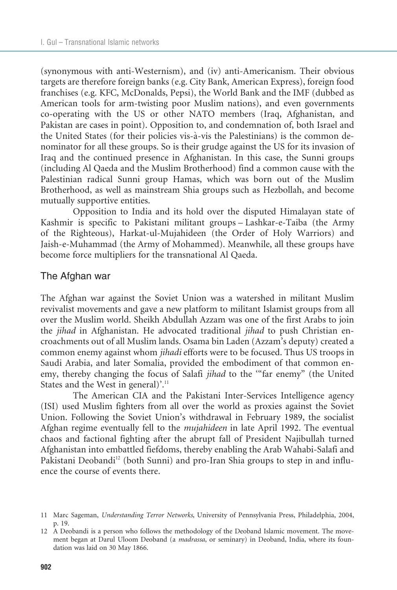(synonymous with anti-Westernism), and (iv) anti-Americanism. Their obvious targets are therefore foreign banks (e.g. City Bank, American Express), foreign food franchises (e.g. KFC, McDonalds, Pepsi), the World Bank and the IMF (dubbed as American tools for arm-twisting poor Muslim nations), and even governments co-operating with the US or other NATO members (Iraq, Afghanistan, and Pakistan are cases in point). Opposition to, and condemnation of, both Israel and the United States (for their policies vis-à-vis the Palestinians) is the common denominator for all these groups. So is their grudge against the US for its invasion of Iraq and the continued presence in Afghanistan. In this case, the Sunni groups (including Al Qaeda and the Muslim Brotherhood) find a common cause with the Palestinian radical Sunni group Hamas, which was born out of the Muslim Brotherhood, as well as mainstream Shia groups such as Hezbollah, and become mutually supportive entities.

Opposition to India and its hold over the disputed Himalayan state of Kashmir is specific to Pakistani militant groups – Lashkar-e-Taiba (the Army of the Righteous), Harkat-ul-Mujahideen (the Order of Holy Warriors) and Jaish-e-Muhammad (the Army of Mohammed). Meanwhile, all these groups have become force multipliers for the transnational Al Qaeda.

## The Afghan war

The Afghan war against the Soviet Union was a watershed in militant Muslim revivalist movements and gave a new platform to militant Islamist groups from all over the Muslim world. Sheikh Abdullah Azzam was one of the first Arabs to join the jihad in Afghanistan. He advocated traditional jihad to push Christian encroachments out of all Muslim lands. Osama bin Laden (Azzam's deputy) created a common enemy against whom jihadi efforts were to be focused. Thus US troops in Saudi Arabia, and later Somalia, provided the embodiment of that common enemy, thereby changing the focus of Salafi jihad to the ""far enemy" (the United States and the West in general)'.<sup>11</sup>

The American CIA and the Pakistani Inter-Services Intelligence agency (ISI) used Muslim fighters from all over the world as proxies against the Soviet Union. Following the Soviet Union's withdrawal in February 1989, the socialist Afghan regime eventually fell to the mujahideen in late April 1992. The eventual chaos and factional fighting after the abrupt fall of President Najibullah turned Afghanistan into embattled fiefdoms, thereby enabling the Arab Wahabi-Salafi and Pakistani Deobandi<sup>12</sup> (both Sunni) and pro-Iran Shia groups to step in and influence the course of events there.

<sup>11</sup> Marc Sageman, Understanding Terror Networks, University of Pennsylvania Press, Philadelphia, 2004, p. 19.

<sup>12</sup> A Deobandi is a person who follows the methodology of the Deoband Islamic movement. The movement began at Darul Uloom Deoband (a madrassa, or seminary) in Deoband, India, where its foundation was laid on 30 May 1866.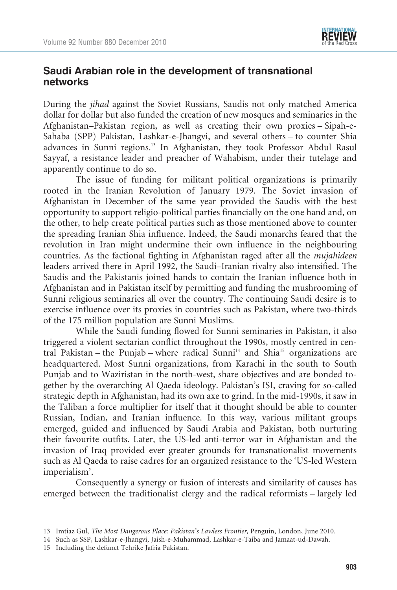

# Saudi Arabian role in the development of transnational networks

During the jihad against the Soviet Russians, Saudis not only matched America dollar for dollar but also funded the creation of new mosques and seminaries in the Afghanistan–Pakistan region, as well as creating their own proxies – Sipah-e-Sahaba (SPP) Pakistan, Lashkar-e-Jhangvi, and several others – to counter Shia advances in Sunni regions.13 In Afghanistan, they took Professor Abdul Rasul Sayyaf, a resistance leader and preacher of Wahabism, under their tutelage and apparently continue to do so.

The issue of funding for militant political organizations is primarily rooted in the Iranian Revolution of January 1979. The Soviet invasion of Afghanistan in December of the same year provided the Saudis with the best opportunity to support religio-political parties financially on the one hand and, on the other, to help create political parties such as those mentioned above to counter the spreading Iranian Shia influence. Indeed, the Saudi monarchs feared that the revolution in Iran might undermine their own influence in the neighbouring countries. As the factional fighting in Afghanistan raged after all the mujahideen leaders arrived there in April 1992, the Saudi–Iranian rivalry also intensified. The Saudis and the Pakistanis joined hands to contain the Iranian influence both in Afghanistan and in Pakistan itself by permitting and funding the mushrooming of Sunni religious seminaries all over the country. The continuing Saudi desire is to exercise influence over its proxies in countries such as Pakistan, where two-thirds of the 175 million population are Sunni Muslims.

While the Saudi funding flowed for Sunni seminaries in Pakistan, it also triggered a violent sectarian conflict throughout the 1990s, mostly centred in central Pakistan – the Punjab – where radical Sunni<sup>14</sup> and Shia<sup>15</sup> organizations are headquartered. Most Sunni organizations, from Karachi in the south to South Punjab and to Waziristan in the north-west, share objectives and are bonded together by the overarching Al Qaeda ideology. Pakistan's ISI, craving for so-called strategic depth in Afghanistan, had its own axe to grind. In the mid-1990s, it saw in the Taliban a force multiplier for itself that it thought should be able to counter Russian, Indian, and Iranian influence. In this way, various militant groups emerged, guided and influenced by Saudi Arabia and Pakistan, both nurturing their favourite outfits. Later, the US-led anti-terror war in Afghanistan and the invasion of Iraq provided ever greater grounds for transnationalist movements such as Al Qaeda to raise cadres for an organized resistance to the 'US-led Western imperialism'.

Consequently a synergy or fusion of interests and similarity of causes has emerged between the traditionalist clergy and the radical reformists – largely led

<sup>13</sup> Imtiaz Gul, The Most Dangerous Place: Pakistan's Lawless Frontier, Penguin, London, June 2010.

<sup>14</sup> Such as SSP, Lashkar-e-Jhangvi, Jaish-e-Muhammad, Lashkar-e-Taiba and Jamaat-ud-Dawah.

<sup>15</sup> Including the defunct Tehrike Jafria Pakistan.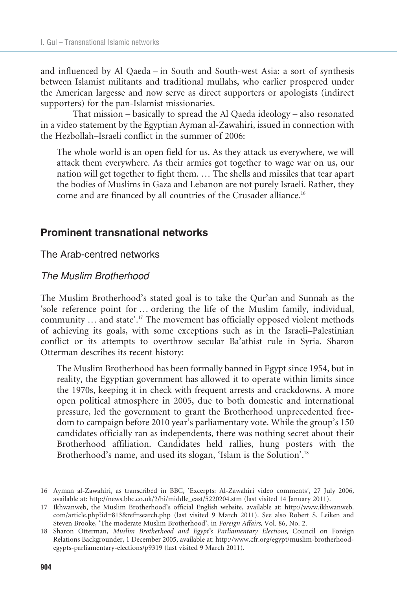and influenced by Al Qaeda – in South and South-west Asia: a sort of synthesis between Islamist militants and traditional mullahs, who earlier prospered under the American largesse and now serve as direct supporters or apologists (indirect supporters) for the pan-Islamist missionaries.

That mission – basically to spread the Al Qaeda ideology – also resonated in a video statement by the Egyptian Ayman al-Zawahiri, issued in connection with the Hezbollah–Israeli conflict in the summer of 2006:

The whole world is an open field for us. As they attack us everywhere, we will attack them everywhere. As their armies got together to wage war on us, our nation will get together to fight them. … The shells and missiles that tear apart the bodies of Muslims in Gaza and Lebanon are not purely Israeli. Rather, they come and are financed by all countries of the Crusader alliance.<sup>16</sup>

## Prominent transnational networks

The Arab-centred networks

# The Muslim Brotherhood

The Muslim Brotherhood's stated goal is to take the Qur'an and Sunnah as the 'sole reference point for … ordering the life of the Muslim family, individual, community … and state'.17 The movement has officially opposed violent methods of achieving its goals, with some exceptions such as in the Israeli–Palestinian conflict or its attempts to overthrow secular Ba'athist rule in Syria. Sharon Otterman describes its recent history:

The Muslim Brotherhood has been formally banned in Egypt since 1954, but in reality, the Egyptian government has allowed it to operate within limits since the 1970s, keeping it in check with frequent arrests and crackdowns. A more open political atmosphere in 2005, due to both domestic and international pressure, led the government to grant the Brotherhood unprecedented freedom to campaign before 2010 year's parliamentary vote. While the group's 150 candidates officially ran as independents, there was nothing secret about their Brotherhood affiliation. Candidates held rallies, hung posters with the Brotherhood's name, and used its slogan, 'Islam is the Solution'.<sup>18</sup>

<sup>16</sup> Ayman al-Zawahiri, as transcribed in BBC, 'Excerpts: Al-Zawahiri video comments', 27 July 2006, available at: http://news.bbc.co.uk/2/hi/middle\_east/5220204.stm (last visited 14 January 2011).

<sup>17</sup> Ikhwanweb, the Muslim Brotherhood's official English website, available at: http://www.ikhwanweb. com/article.php?id=813&ref=search.php (last visited 9 March 2011). See also Robert S. Leiken and Steven Brooke, 'The moderate Muslim Brotherhood', in Foreign Affairs, Vol. 86, No. 2.

<sup>18</sup> Sharon Otterman, Muslim Brotherhood and Egypt's Parliamentary Elections, Council on Foreign Relations Backgrounder, 1 December 2005, available at: http://www.cfr.org/egypt/muslim-brotherhoodegypts-parliamentary-elections/p9319 (last visited 9 March 2011).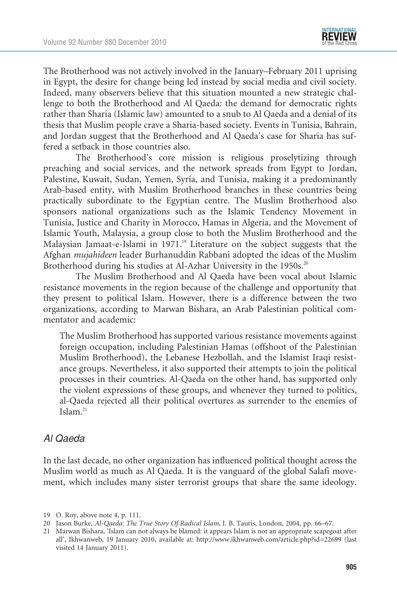The Brotherhood was not actively involved in the January–February 2011 uprising in Egypt, the desire for change being led instead by social media and civil society. Indeed, many observers believe that this situation mounted a new strategic challenge to both the Brotherhood and Al Qaeda: the demand for democratic rights rather than Sharia (Islamic law) amounted to a snub to Al Qaeda and a denial of its thesis that Muslim people crave a Sharia-based society. Events in Tunisia, Bahrain, and Jordan suggest that the Brotherhood and Al Qaeda's case for Sharia has suffered a setback in those countries also.

The Brotherhood's core mission is religious proselytizing through preaching and social services, and the network spreads from Egypt to Jordan, Palestine, Kuwait, Sudan, Yemen, Syria, and Tunisia, making it a predominantly Arab-based entity, with Muslim Brotherhood branches in these countries being practically subordinate to the Egyptian centre. The Muslim Brotherhood also sponsors national organizations such as the Islamic Tendency Movement in Tunisia, Justice and Charity in Morocco, Hamas in Algeria, and the Movement of Islamic Youth, Malaysia, a group close to both the Muslim Brotherhood and the Malaysian Jamaat-e-Islami in 1971.<sup>19</sup> Literature on the subject suggests that the Afghan mujahideen leader Burhanuddin Rabbani adopted the ideas of the Muslim Brotherhood during his studies at Al-Azhar University in the 1950s.<sup>20</sup>

The Muslim Brotherhood and Al Qaeda have been vocal about Islamic resistance movements in the region because of the challenge and opportunity that they present to political Islam. However, there is a difference between the two organizations, according to Marwan Bishara, an Arab Palestinian political commentator and academic:

The Muslim Brotherhood has supported various resistance movements against foreign occupation, including Palestinian Hamas (offshoot of the Palestinian Muslim Brotherhood), the Lebanese Hezbollah, and the Islamist Iraqi resistance groups. Nevertheless, it also supported their attempts to join the political processes in their countries. Al-Qaeda on the other hand, has supported only the violent expressions of these groups, and whenever they turned to politics, al-Qaeda rejected all their political overtures as surrender to the enemies of Islam. $21$ 

# Al Qaeda

In the last decade, no other organization has influenced political thought across the Muslim world as much as Al Qaeda. It is the vanguard of the global Salafi movement, which includes many sister terrorist groups that share the same ideology.

<sup>19</sup> O. Roy, above note 4, p. 111.

<sup>20</sup> Jason Burke, Al-Qaeda: The True Story Of Radical Islam, I. B. Tauris, London, 2004, pp. 66–67.

<sup>21</sup> Marwan Bishara, 'Islam can not always be blamed: it appears Islam is not an appropriate scapegoat after all', Ikhwanweb, 19 January 2010, available at: http://www.ikhwanweb.com/article.php?id=22699 (last visited 14 January 2011).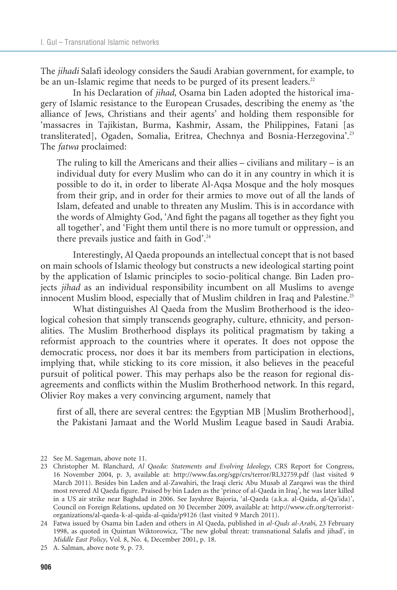The jihadi Salafi ideology considers the Saudi Arabian government, for example, to be an un-Islamic regime that needs to be purged of its present leaders.<sup>22</sup>

In his Declaration of jihad, Osama bin Laden adopted the historical imagery of Islamic resistance to the European Crusades, describing the enemy as 'the alliance of Jews, Christians and their agents' and holding them responsible for 'massacres in Tajikistan, Burma, Kashmir, Assam, the Philippines, Fatani [as transliterated], Ogaden, Somalia, Eritrea, Chechnya and Bosnia-Herzegovina'.23 The fatwa proclaimed:

The ruling to kill the Americans and their allies – civilians and military – is an individual duty for every Muslim who can do it in any country in which it is possible to do it, in order to liberate Al-Aqsa Mosque and the holy mosques from their grip, and in order for their armies to move out of all the lands of Islam, defeated and unable to threaten any Muslim. This is in accordance with the words of Almighty God, 'And fight the pagans all together as they fight you all together', and 'Fight them until there is no more tumult or oppression, and there prevails justice and faith in God'.<sup>24</sup>

Interestingly, Al Qaeda propounds an intellectual concept that is not based on main schools of Islamic theology but constructs a new ideological starting point by the application of Islamic principles to socio-political change. Bin Laden projects jihad as an individual responsibility incumbent on all Muslims to avenge innocent Muslim blood, especially that of Muslim children in Iraq and Palestine.<sup>25</sup>

What distinguishes Al Qaeda from the Muslim Brotherhood is the ideological cohesion that simply transcends geography, culture, ethnicity, and personalities. The Muslim Brotherhood displays its political pragmatism by taking a reformist approach to the countries where it operates. It does not oppose the democratic process, nor does it bar its members from participation in elections, implying that, while sticking to its core mission, it also believes in the peaceful pursuit of political power. This may perhaps also be the reason for regional disagreements and conflicts within the Muslim Brotherhood network. In this regard, Olivier Roy makes a very convincing argument, namely that

first of all, there are several centres: the Egyptian MB [Muslim Brotherhood], the Pakistani Jamaat and the World Muslim League based in Saudi Arabia.

<sup>22</sup> See M. Sageman, above note 11.

<sup>23</sup> Christopher M. Blanchard, Al Qaeda: Statements and Evolving Ideology, CRS Report for Congress, 16 November 2004, p. 3, available at: http://www.fas.org/sgp/crs/terror/RL32759.pdf (last visited 9 March 2011). Besides bin Laden and al-Zawahiri, the Iraqi cleric Abu Musab al Zarqawi was the third most revered Al Qaeda figure. Praised by bin Laden as the 'prince of al-Qaeda in Iraq', he was later killed in a US air strike near Baghdad in 2006. See Jayshree Bajoria, 'al-Qaeda (a.k.a. al-Qaida, al-Qa'ida)', Council on Foreign Relations, updated on 30 December 2009, available at: http://www.cfr.org/terroristorganizations/al-qaeda-k-al-qaida-al-qaida/p9126 (last visited 9 March 2011).

<sup>24</sup> Fatwa issued by Osama bin Laden and others in Al Qaeda, published in al-Quds al-Arabi, 23 February 1998, as quoted in Quintan Wiktorowicz, 'The new global threat: transnational Salafis and jihad', in Middle East Policy, Vol. 8, No. 4, December 2001, p. 18.

<sup>25</sup> A. Salman, above note 9, p. 73.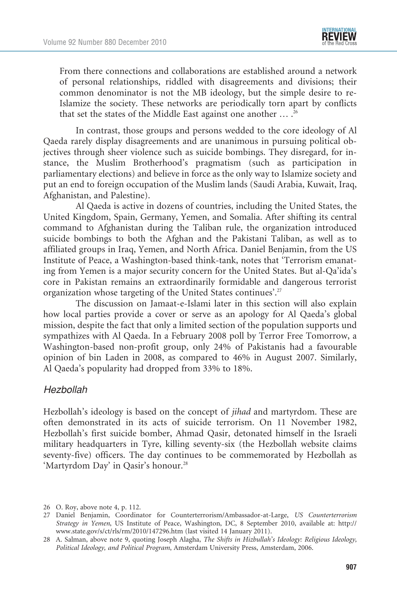From there connections and collaborations are established around a network of personal relationships, riddled with disagreements and divisions; their common denominator is not the MB ideology, but the simple desire to re-Islamize the society. These networks are periodically torn apart by conflicts that set the states of the Middle East against one another  $\dots$ <sup>26</sup>

In contrast, those groups and persons wedded to the core ideology of Al Qaeda rarely display disagreements and are unanimous in pursuing political objectives through sheer violence such as suicide bombings. They disregard, for instance, the Muslim Brotherhood's pragmatism (such as participation in parliamentary elections) and believe in force as the only way to Islamize society and put an end to foreign occupation of the Muslim lands (Saudi Arabia, Kuwait, Iraq, Afghanistan, and Palestine).

Al Qaeda is active in dozens of countries, including the United States, the United Kingdom, Spain, Germany, Yemen, and Somalia. After shifting its central command to Afghanistan during the Taliban rule, the organization introduced suicide bombings to both the Afghan and the Pakistani Taliban, as well as to affiliated groups in Iraq, Yemen, and North Africa. Daniel Benjamin, from the US Institute of Peace, a Washington-based think-tank, notes that 'Terrorism emanating from Yemen is a major security concern for the United States. But al-Qa'ida's core in Pakistan remains an extraordinarily formidable and dangerous terrorist organization whose targeting of the United States continues'.<sup>27</sup>

The discussion on Jamaat-e-Islami later in this section will also explain how local parties provide a cover or serve as an apology for Al Qaeda's global mission, despite the fact that only a limited section of the population supports und sympathizes with Al Qaeda. In a February 2008 poll by Terror Free Tomorrow, a Washington-based non-profit group, only 24% of Pakistanis had a favourable opinion of bin Laden in 2008, as compared to 46% in August 2007. Similarly, Al Qaeda's popularity had dropped from 33% to 18%.

# Hezbollah

Hezbollah's ideology is based on the concept of jihad and martyrdom. These are often demonstrated in its acts of suicide terrorism. On 11 November 1982, Hezbollah's first suicide bomber, Ahmad Qasir, detonated himself in the Israeli military headquarters in Tyre, killing seventy-six (the Hezbollah website claims seventy-five) officers. The day continues to be commemorated by Hezbollah as 'Martyrdom Day' in Qasir's honour.<sup>28</sup>

<sup>26</sup> O. Roy, above note 4, p. 112.

<sup>27</sup> Daniel Benjamin, Coordinator for Counterterrorism/Ambassador-at-Large, US Counterterrorism Strategy in Yemen, US Institute of Peace, Washington, DC, 8 September 2010, available at: http:// www.state.gov/s/ct/rls/rm/2010/147296.htm (last visited 14 January 2011).

<sup>28</sup> A. Salman, above note 9, quoting Joseph Alagha, The Shifts in Hizbullah's Ideology: Religious Ideology, Political Ideology, and Political Program, Amsterdam University Press, Amsterdam, 2006.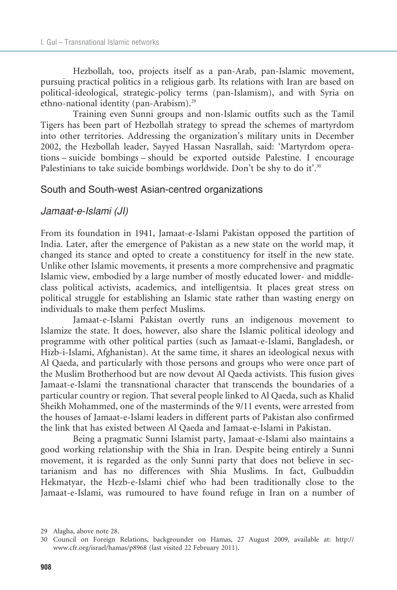Hezbollah, too, projects itself as a pan-Arab, pan-Islamic movement, pursuing practical politics in a religious garb. Its relations with Iran are based on political-ideological, strategic-policy terms (pan-Islamism), and with Syria on ethno-national identity (pan-Arabism).<sup>29</sup>

Training even Sunni groups and non-Islamic outfits such as the Tamil Tigers has been part of Hezbollah strategy to spread the schemes of martyrdom into other territories. Addressing the organization's military units in December 2002, the Hezbollah leader, Sayyed Hassan Nasrallah, said: 'Martyrdom operations – suicide bombings – should be exported outside Palestine. I encourage Palestinians to take suicide bombings worldwide. Don't be shy to do it'.<sup>30</sup>

#### South and South-west Asian-centred organizations

## Jamaat-e-Islami (JI)

From its foundation in 1941, Jamaat-e-Islami Pakistan opposed the partition of India. Later, after the emergence of Pakistan as a new state on the world map, it changed its stance and opted to create a constituency for itself in the new state. Unlike other Islamic movements, it presents a more comprehensive and pragmatic Islamic view, embodied by a large number of mostly educated lower- and middleclass political activists, academics, and intelligentsia. It places great stress on political struggle for establishing an Islamic state rather than wasting energy on individuals to make them perfect Muslims.

Jamaat-e-Islami Pakistan overtly runs an indigenous movement to Islamize the state. It does, however, also share the Islamic political ideology and programme with other political parties (such as Jamaat-e-Islami, Bangladesh, or Hizb-i-Islami, Afghanistan). At the same time, it shares an ideological nexus with Al Qaeda, and particularly with those persons and groups who were once part of the Muslim Brotherhood but are now devout Al Qaeda activists. This fusion gives Jamaat-e-Islami the transnational character that transcends the boundaries of a particular country or region. That several people linked to Al Qaeda, such as Khalid Sheikh Mohammed, one of the masterminds of the 9/11 events, were arrested from the houses of Jamaat-e-Islami leaders in different parts of Pakistan also confirmed the link that has existed between Al Qaeda and Jamaat-e-Islami in Pakistan.

Being a pragmatic Sunni Islamist party, Jamaat-e-Islami also maintains a good working relationship with the Shia in Iran. Despite being entirely a Sunni movement, it is regarded as the only Sunni party that does not believe in sectarianism and has no differences with Shia Muslims. In fact, Gulbuddin Hekmatyar, the Hezb-e-Islami chief who had been traditionally close to the Jamaat-e-Islami, was rumoured to have found refuge in Iran on a number of

<sup>29</sup> Alagha, above note 28.

<sup>30</sup> Council on Foreign Relations, backgrounder on Hamas, 27 August 2009, available at: http:// www.cfr.org/israel/hamas/p8968 (last visited 22 February 2011).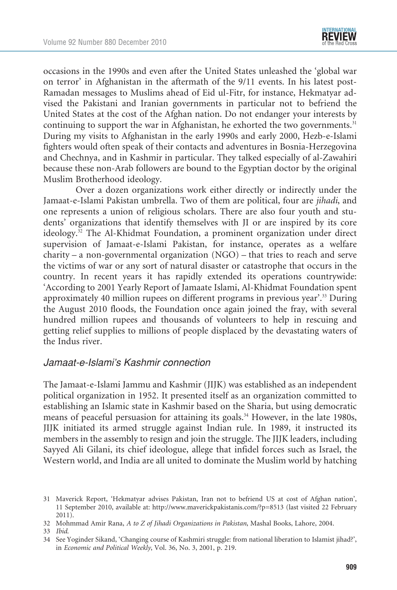

occasions in the 1990s and even after the United States unleashed the 'global war on terror' in Afghanistan in the aftermath of the 9/11 events. In his latest post-Ramadan messages to Muslims ahead of Eid ul-Fitr, for instance, Hekmatyar advised the Pakistani and Iranian governments in particular not to befriend the United States at the cost of the Afghan nation. Do not endanger your interests by continuing to support the war in Afghanistan, he exhorted the two governments.<sup>31</sup> During my visits to Afghanistan in the early 1990s and early 2000, Hezb-e-Islami fighters would often speak of their contacts and adventures in Bosnia-Herzegovina and Chechnya, and in Kashmir in particular. They talked especially of al-Zawahiri because these non-Arab followers are bound to the Egyptian doctor by the original Muslim Brotherhood ideology.

Over a dozen organizations work either directly or indirectly under the Jamaat-e-Islami Pakistan umbrella. Two of them are political, four are jihadi, and one represents a union of religious scholars. There are also four youth and students' organizations that identify themselves with JI or are inspired by its core ideology.32 The Al-Khidmat Foundation, a prominent organization under direct supervision of Jamaat-e-Islami Pakistan, for instance, operates as a welfare charity – a non-governmental organization (NGO) – that tries to reach and serve the victims of war or any sort of natural disaster or catastrophe that occurs in the country. In recent years it has rapidly extended its operations countrywide: 'According to 2001 Yearly Report of Jamaate Islami, Al-Khidmat Foundation spent approximately 40 million rupees on different programs in previous year'.33 During the August 2010 floods, the Foundation once again joined the fray, with several hundred million rupees and thousands of volunteers to help in rescuing and getting relief supplies to millions of people displaced by the devastating waters of the Indus river.

## Jamaat-e-Islami's Kashmir connection

The Jamaat-e-Islami Jammu and Kashmir (JIJK) was established as an independent political organization in 1952. It presented itself as an organization committed to establishing an Islamic state in Kashmir based on the Sharia, but using democratic means of peaceful persuasion for attaining its goals.<sup>34</sup> However, in the late 1980s, JIJK initiated its armed struggle against Indian rule. In 1989, it instructed its members in the assembly to resign and join the struggle. The JIJK leaders, including Sayyed Ali Gilani, its chief ideologue, allege that infidel forces such as Israel, the Western world, and India are all united to dominate the Muslim world by hatching

<sup>31</sup> Maverick Report, 'Hekmatyar advises Pakistan, Iran not to befriend US at cost of Afghan nation', 11 September 2010, available at: http://www.maverickpakistanis.com/?p=8513 (last visited 22 February 2011).

<sup>32</sup> Mohmmad Amir Rana, A to Z of Jihadi Organizations in Pakistan, Mashal Books, Lahore, 2004.

<sup>33</sup> Ibid.

<sup>34</sup> See Yoginder Sikand, 'Changing course of Kashmiri struggle: from national liberation to Islamist jihad?', in Economic and Political Weekly, Vol. 36, No. 3, 2001, p. 219.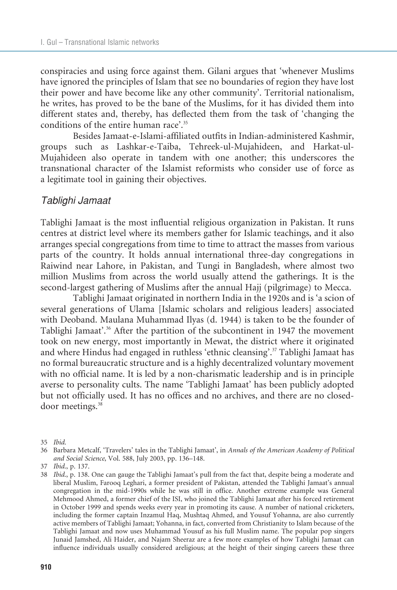conspiracies and using force against them. Gilani argues that 'whenever Muslims have ignored the principles of Islam that see no boundaries of region they have lost their power and have become like any other community'. Territorial nationalism, he writes, has proved to be the bane of the Muslims, for it has divided them into different states and, thereby, has deflected them from the task of 'changing the conditions of the entire human race'.35

Besides Jamaat-e-Islami-affiliated outfits in Indian-administered Kashmir, groups such as Lashkar-e-Taiba, Tehreek-ul-Mujahideen, and Harkat-ul-Mujahideen also operate in tandem with one another; this underscores the transnational character of the Islamist reformists who consider use of force as a legitimate tool in gaining their objectives.

## Tablighi Jamaat

Tablighi Jamaat is the most influential religious organization in Pakistan. It runs centres at district level where its members gather for Islamic teachings, and it also arranges special congregations from time to time to attract the masses from various parts of the country. It holds annual international three-day congregations in Raiwind near Lahore, in Pakistan, and Tungi in Bangladesh, where almost two million Muslims from across the world usually attend the gatherings. It is the second-largest gathering of Muslims after the annual Hajj (pilgrimage) to Mecca.

Tablighi Jamaat originated in northern India in the 1920s and is 'a scion of several generations of Ulama [Islamic scholars and religious leaders] associated with Deoband. Maulana Muhammad Ilyas (d. 1944) is taken to be the founder of Tablighi Jamaat'.36 After the partition of the subcontinent in 1947 the movement took on new energy, most importantly in Mewat, the district where it originated and where Hindus had engaged in ruthless 'ethnic cleansing'.37 Tablighi Jamaat has no formal bureaucratic structure and is a highly decentralized voluntary movement with no official name. It is led by a non-charismatic leadership and is in principle averse to personality cults. The name 'Tablighi Jamaat' has been publicly adopted but not officially used. It has no offices and no archives, and there are no closeddoor meetings.<sup>38</sup>

<sup>35</sup> Ibid.

<sup>36</sup> Barbara Metcalf, 'Travelers' tales in the Tablighi Jamaat', in Annals of the American Academy of Political and Social Science, Vol. 588, July 2003, pp. 136–148.

<sup>37</sup> Ibid., p. 137.

<sup>38</sup> Ibid., p. 138. One can gauge the Tablighi Jamaat's pull from the fact that, despite being a moderate and liberal Muslim, Farooq Leghari, a former president of Pakistan, attended the Tablighi Jamaat's annual congregation in the mid-1990s while he was still in office. Another extreme example was General Mehmood Ahmed, a former chief of the ISI, who joined the Tablighi Jamaat after his forced retirement in October 1999 and spends weeks every year in promoting its cause. A number of national cricketers, including the former captain Inzamul Haq, Mushtaq Ahmed, and Yousuf Yohanna, are also currently active members of Tablighi Jamaat; Yohanna, in fact, converted from Christianity to Islam because of the Tablighi Jamaat and now uses Muhammad Yousuf as his full Muslim name. The popular pop singers Junaid Jamshed, Ali Haider, and Najam Sheeraz are a few more examples of how Tablighi Jamaat can influence individuals usually considered areligious; at the height of their singing careers these three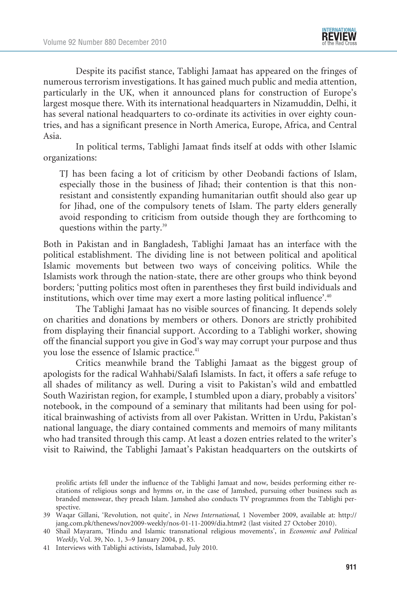Despite its pacifist stance, Tablighi Jamaat has appeared on the fringes of numerous terrorism investigations. It has gained much public and media attention, particularly in the UK, when it announced plans for construction of Europe's largest mosque there. With its international headquarters in Nizamuddin, Delhi, it has several national headquarters to co-ordinate its activities in over eighty countries, and has a significant presence in North America, Europe, Africa, and Central Asia.

In political terms, Tablighi Jamaat finds itself at odds with other Islamic organizations:

TJ has been facing a lot of criticism by other Deobandi factions of Islam, especially those in the business of Jihad; their contention is that this nonresistant and consistently expanding humanitarian outfit should also gear up for Jihad, one of the compulsory tenets of Islam. The party elders generally avoid responding to criticism from outside though they are forthcoming to questions within the party.<sup>39</sup>

Both in Pakistan and in Bangladesh, Tablighi Jamaat has an interface with the political establishment. The dividing line is not between political and apolitical Islamic movements but between two ways of conceiving politics. While the Islamists work through the nation-state, there are other groups who think beyond borders; 'putting politics most often in parentheses they first build individuals and institutions, which over time may exert a more lasting political influence'.<sup>40</sup>

The Tablighi Jamaat has no visible sources of financing. It depends solely on charities and donations by members or others. Donors are strictly prohibited from displaying their financial support. According to a Tablighi worker, showing off the financial support you give in God's way may corrupt your purpose and thus you lose the essence of Islamic practice.<sup>41</sup>

Critics meanwhile brand the Tablighi Jamaat as the biggest group of apologists for the radical Wahhabi/Salafi Islamists. In fact, it offers a safe refuge to all shades of militancy as well. During a visit to Pakistan's wild and embattled South Waziristan region, for example, I stumbled upon a diary, probably a visitors' notebook, in the compound of a seminary that militants had been using for political brainwashing of activists from all over Pakistan. Written in Urdu, Pakistan's national language, the diary contained comments and memoirs of many militants who had transited through this camp. At least a dozen entries related to the writer's visit to Raiwind, the Tablighi Jamaat's Pakistan headquarters on the outskirts of

prolific artists fell under the influence of the Tablighi Jamaat and now, besides performing either recitations of religious songs and hymns or, in the case of Jamshed, pursuing other business such as branded menswear, they preach Islam. Jamshed also conducts TV programmes from the Tablighi perspective.

<sup>39</sup> Waqar Gillani, 'Revolution, not quite', in News International, 1 November 2009, available at: http:// jang.com.pk/thenews/nov2009-weekly/nos-01-11-2009/dia.htm#2 (last visited 27 October 2010).

<sup>40</sup> Shail Mayaram, 'Hindu and Islamic transnational religious movements', in Economic and Political Weekly, Vol. 39, No. 1, 3–9 January 2004, p. 85.

<sup>41</sup> Interviews with Tablighi activists, Islamabad, July 2010.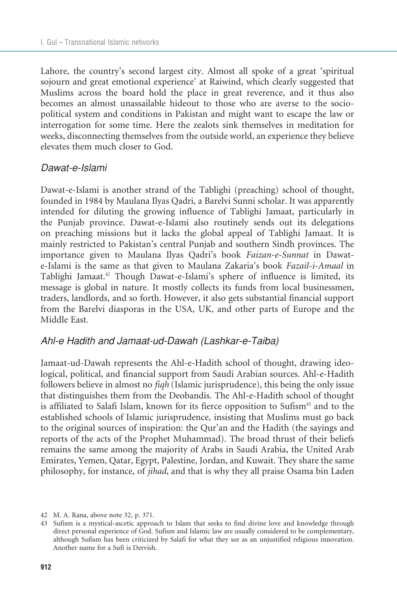Lahore, the country's second largest city. Almost all spoke of a great 'spiritual sojourn and great emotional experience' at Raiwind, which clearly suggested that Muslims across the board hold the place in great reverence, and it thus also becomes an almost unassailable hideout to those who are averse to the sociopolitical system and conditions in Pakistan and might want to escape the law or interrogation for some time. Here the zealots sink themselves in meditation for weeks, disconnecting themselves from the outside world, an experience they believe elevates them much closer to God.

# Dawat-e-Islami

Dawat-e-Islami is another strand of the Tablighi (preaching) school of thought, founded in 1984 by Maulana Ilyas Qadri, a Barelvi Sunni scholar. It was apparently intended for diluting the growing influence of Tablighi Jamaat, particularly in the Punjab province. Dawat-e-Islami also routinely sends out its delegations on preaching missions but it lacks the global appeal of Tablighi Jamaat. It is mainly restricted to Pakistan's central Punjab and southern Sindh provinces. The importance given to Maulana Ilyas Qadri's book Faizan-e-Sunnat in Dawate-Islami is the same as that given to Maulana Zakaria's book Fazail-i-Amaal in Tablighi Jamaat.42 Though Dawat-e-Islami's sphere of influence is limited, its message is global in nature. It mostly collects its funds from local businessmen, traders, landlords, and so forth. However, it also gets substantial financial support from the Barelvi diasporas in the USA, UK, and other parts of Europe and the Middle East.

# Ahl-e Hadith and Jamaat-ud-Dawah (Lashkar-e-Taiba)

Jamaat-ud-Dawah represents the Ahl-e-Hadith school of thought, drawing ideological, political, and financial support from Saudi Arabian sources. Ahl-e-Hadith followers believe in almost no fiqh (Islamic jurisprudence), this being the only issue that distinguishes them from the Deobandis. The Ahl-e-Hadith school of thought is affiliated to Salafi Islam, known for its fierce opposition to Sufism<sup>43</sup> and to the established schools of Islamic jurisprudence, insisting that Muslims must go back to the original sources of inspiration: the Qur'an and the Hadith (the sayings and reports of the acts of the Prophet Muhammad). The broad thrust of their beliefs remains the same among the majority of Arabs in Saudi Arabia, the United Arab Emirates, Yemen, Qatar, Egypt, Palestine, Jordan, and Kuwait. They share the same philosophy, for instance, of jihad, and that is why they all praise Osama bin Laden

<sup>42</sup> M. A. Rana, above note 32, p. 371.

<sup>43</sup> Sufism is a mystical-ascetic approach to Islam that seeks to find divine love and knowledge through direct personal experience of God. Sufism and Islamic law are usually considered to be complementary, although Sufism has been criticized by Salafi for what they see as an unjustified religious innovation. Another name for a Sufi is Dervish.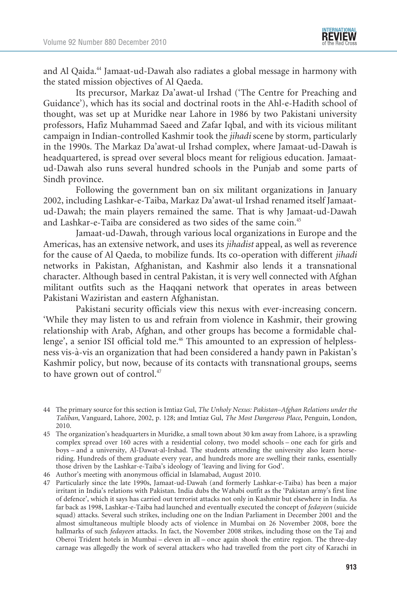and Al Qaida.44 Jamaat-ud-Dawah also radiates a global message in harmony with the stated mission objectives of Al Qaeda.

Its precursor, Markaz Da'awat-ul Irshad ('The Centre for Preaching and Guidance'), which has its social and doctrinal roots in the Ahl-e-Hadith school of thought, was set up at Muridke near Lahore in 1986 by two Pakistani university professors, Hafiz Muhammad Saeed and Zafar Iqbal, and with its vicious militant campaign in Indian-controlled Kashmir took the jihadi scene by storm, particularly in the 1990s. The Markaz Da'awat-ul Irshad complex, where Jamaat-ud-Dawah is headquartered, is spread over several blocs meant for religious education. Jamaatud-Dawah also runs several hundred schools in the Punjab and some parts of Sindh province.

Following the government ban on six militant organizations in January 2002, including Lashkar-e-Taiba, Markaz Da'awat-ul Irshad renamed itself Jamaatud-Dawah; the main players remained the same. That is why Jamaat-ud-Dawah and Lashkar-e-Taiba are considered as two sides of the same coin.<sup>45</sup>

Jamaat-ud-Dawah, through various local organizations in Europe and the Americas, has an extensive network, and uses its jihadist appeal, as well as reverence for the cause of Al Qaeda, to mobilize funds. Its co-operation with different jihadi networks in Pakistan, Afghanistan, and Kashmir also lends it a transnational character. Although based in central Pakistan, it is very well connected with Afghan militant outfits such as the Haqqani network that operates in areas between Pakistani Waziristan and eastern Afghanistan.

Pakistani security officials view this nexus with ever-increasing concern. 'While they may listen to us and refrain from violence in Kashmir, their growing relationship with Arab, Afghan, and other groups has become a formidable challenge', a senior ISI official told me.<sup>46</sup> This amounted to an expression of helplessness vis-a`-vis an organization that had been considered a handy pawn in Pakistan's Kashmir policy, but now, because of its contacts with transnational groups, seems to have grown out of control.<sup>47</sup>

<sup>44</sup> The primary source for this section is Imtiaz Gul, The Unholy Nexus: Pakistan–Afghan Relations under the Taliban, Vanguard, Lahore, 2002, p. 128; and Imtiaz Gul, The Most Dangerous Place, Penguin, London, 2010.

<sup>45</sup> The organization's headquarters in Muridke, a small town about 30 km away from Lahore, is a sprawling complex spread over 160 acres with a residential colony, two model schools – one each for girls and boys – and a university, Al-Dawat-al-Irshad. The students attending the university also learn horseriding. Hundreds of them graduate every year, and hundreds more are swelling their ranks, essentially those driven by the Lashkar-e-Taiba's ideology of 'leaving and living for God'.

<sup>46</sup> Author's meeting with anonymous official in Islamabad, August 2010.

<sup>47</sup> Particularly since the late 1990s, Jamaat-ud-Dawah (and formerly Lashkar-e-Taiba) has been a major irritant in India's relations with Pakistan. India dubs the Wahabi outfit as the 'Pakistan army's first line of defence', which it says has carried out terrorist attacks not only in Kashmir but elsewhere in India. As far back as 1998, Lashkar-e-Taiba had launched and eventually executed the concept of fedayeen (suicide squad) attacks. Several such strikes, including one on the Indian Parliament in December 2001 and the almost simultaneous multiple bloody acts of violence in Mumbai on 26 November 2008, bore the hallmarks of such fedayeen attacks. In fact, the November 2008 strikes, including those on the Taj and Oberoi Trident hotels in Mumbai – eleven in all – once again shook the entire region. The three-day carnage was allegedly the work of several attackers who had travelled from the port city of Karachi in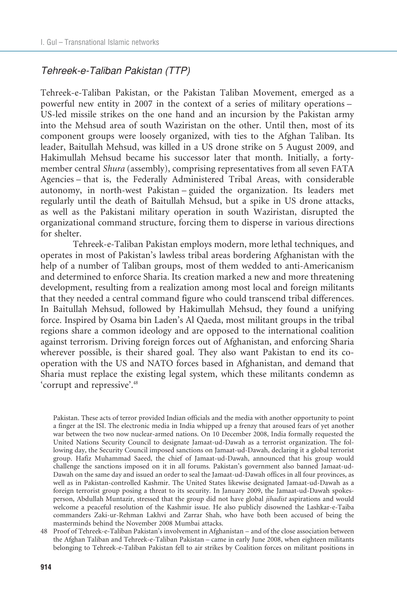## Tehreek-e-Taliban Pakistan (TTP)

Tehreek-e-Taliban Pakistan, or the Pakistan Taliban Movement, emerged as a powerful new entity in 2007 in the context of a series of military operations – US-led missile strikes on the one hand and an incursion by the Pakistan army into the Mehsud area of south Waziristan on the other. Until then, most of its component groups were loosely organized, with ties to the Afghan Taliban. Its leader, Baitullah Mehsud, was killed in a US drone strike on 5 August 2009, and Hakimullah Mehsud became his successor later that month. Initially, a fortymember central Shura (assembly), comprising representatives from all seven FATA Agencies – that is, the Federally Administered Tribal Areas, with considerable autonomy, in north-west Pakistan – guided the organization. Its leaders met regularly until the death of Baitullah Mehsud, but a spike in US drone attacks, as well as the Pakistani military operation in south Waziristan, disrupted the organizational command structure, forcing them to disperse in various directions for shelter.

Tehreek-e-Taliban Pakistan employs modern, more lethal techniques, and operates in most of Pakistan's lawless tribal areas bordering Afghanistan with the help of a number of Taliban groups, most of them wedded to anti-Americanism and determined to enforce Sharia. Its creation marked a new and more threatening development, resulting from a realization among most local and foreign militants that they needed a central command figure who could transcend tribal differences. In Baitullah Mehsud, followed by Hakimullah Mehsud, they found a unifying force. Inspired by Osama bin Laden's Al Qaeda, most militant groups in the tribal regions share a common ideology and are opposed to the international coalition against terrorism. Driving foreign forces out of Afghanistan, and enforcing Sharia wherever possible, is their shared goal. They also want Pakistan to end its cooperation with the US and NATO forces based in Afghanistan, and demand that Sharia must replace the existing legal system, which these militants condemn as 'corrupt and repressive'.48

Pakistan. These acts of terror provided Indian officials and the media with another opportunity to point a finger at the ISI. The electronic media in India whipped up a frenzy that aroused fears of yet another war between the two now nuclear-armed nations. On 10 December 2008, India formally requested the United Nations Security Council to designate Jamaat-ud-Dawah as a terrorist organization. The following day, the Security Council imposed sanctions on Jamaat-ud-Dawah, declaring it a global terrorist group. Hafiz Muhammad Saeed, the chief of Jamaat-ud-Dawah, announced that his group would challenge the sanctions imposed on it in all forums. Pakistan's government also banned Jamaat-ud-Dawah on the same day and issued an order to seal the Jamaat-ud-Dawah offices in all four provinces, as well as in Pakistan-controlled Kashmir. The United States likewise designated Jamaat-ud-Dawah as a foreign terrorist group posing a threat to its security. In January 2009, the Jamaat-ud-Dawah spokesperson, Abdullah Muntazir, stressed that the group did not have global jihadist aspirations and would welcome a peaceful resolution of the Kashmir issue. He also publicly disowned the Lashkar-e-Taiba commanders Zaki-ur-Rehman Lakhvi and Zarrar Shah, who have both been accused of being the masterminds behind the November 2008 Mumbai attacks.

48 Proof of Tehreek-e-Taliban Pakistan's involvement in Afghanistan – and of the close association between the Afghan Taliban and Tehreek-e-Taliban Pakistan – came in early June 2008, when eighteen militants belonging to Tehreek-e-Taliban Pakistan fell to air strikes by Coalition forces on militant positions in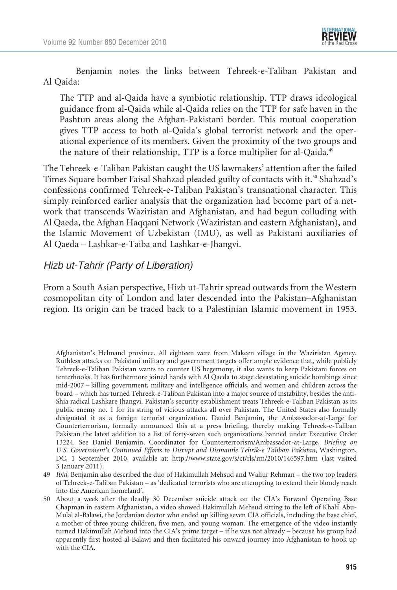

Benjamin notes the links between Tehreek-e-Taliban Pakistan and Al Qaida:

The TTP and al-Qaida have a symbiotic relationship. TTP draws ideological guidance from al-Qaida while al-Qaida relies on the TTP for safe haven in the Pashtun areas along the Afghan-Pakistani border. This mutual cooperation gives TTP access to both al-Qaida's global terrorist network and the operational experience of its members. Given the proximity of the two groups and the nature of their relationship, TTP is a force multiplier for al-Qaida.<sup>49</sup>

The Tehreek-e-Taliban Pakistan caught the US lawmakers' attention after the failed Times Square bomber Faisal Shahzad pleaded guilty of contacts with it.<sup>50</sup> Shahzad's confessions confirmed Tehreek-e-Taliban Pakistan's transnational character. This simply reinforced earlier analysis that the organization had become part of a network that transcends Waziristan and Afghanistan, and had begun colluding with Al Qaeda, the Afghan Haqqani Network (Waziristan and eastern Afghanistan), and the Islamic Movement of Uzbekistan (IMU), as well as Pakistani auxiliaries of Al Qaeda – Lashkar-e-Taiba and Lashkar-e-Jhangvi.

# Hizb ut-Tahrir (Party of Liberation)

From a South Asian perspective, Hizb ut-Tahrir spread outwards from the Western cosmopolitan city of London and later descended into the Pakistan–Afghanistan region. Its origin can be traced back to a Palestinian Islamic movement in 1953.

- 49 Ibid. Benjamin also described the duo of Hakimullah Mehsud and Waliur Rehman the two top leaders of Tehreek-e-Taliban Pakistan – as 'dedicated terrorists who are attempting to extend their bloody reach into the American homeland'.
- 50 About a week after the deadly 30 December suicide attack on the CIA's Forward Operating Base Chapman in eastern Afghanistan, a video showed Hakimullah Mehsud sitting to the left of Khalil Abu-Mulal al-Balawi, the Jordanian doctor who ended up killing seven CIA officials, including the base chief, a mother of three young children, five men, and young woman. The emergence of the video instantly turned Hakimullah Mehsud into the CIA's prime target – if he was not already – because his group had apparently first hosted al-Balawi and then facilitated his onward journey into Afghanistan to hook up with the CIA.

Afghanistan's Helmand province. All eighteen were from Makeen village in the Waziristan Agency. Ruthless attacks on Pakistani military and government targets offer ample evidence that, while publicly Tehreek-e-Taliban Pakistan wants to counter US hegemony, it also wants to keep Pakistani forces on tenterhooks. It has furthermore joined hands with Al Qaeda to stage devastating suicide bombings since mid-2007 – killing government, military and intelligence officials, and women and children across the board – which has turned Tehreek-e-Taliban Pakistan into a major source of instability, besides the anti-Shia radical Lashkare Jhangvi. Pakistan's security establishment treats Tehreek-e-Taliban Pakistan as its public enemy no. 1 for its string of vicious attacks all over Pakistan. The United States also formally designated it as a foreign terrorist organization. Daniel Benjamin, the Ambassador-at-Large for Counterterrorism, formally announced this at a press briefing, thereby making Tehreek-e-Taliban Pakistan the latest addition to a list of forty-seven such organizations banned under Executive Order 13224. See Daniel Benjamin, Coordinator for Counterterrorism/Ambassador-at-Large, Briefing on U.S. Government's Continued Efforts to Disrupt and Dismantle Tehrik-e Taliban Pakistan, Washington, DC, 1 September 2010, available at: http://www.state.gov/s/ct/rls/rm/2010/146597.htm (last visited 3 January 2011).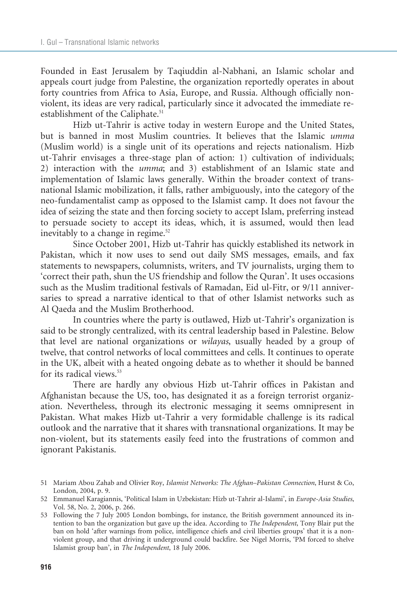Founded in East Jerusalem by Taqiuddin al-Nabhani, an Islamic scholar and appeals court judge from Palestine, the organization reportedly operates in about forty countries from Africa to Asia, Europe, and Russia. Although officially nonviolent, its ideas are very radical, particularly since it advocated the immediate reestablishment of the Caliphate.<sup>51</sup>

Hizb ut-Tahrir is active today in western Europe and the United States, but is banned in most Muslim countries. It believes that the Islamic umma (Muslim world) is a single unit of its operations and rejects nationalism. Hizb ut-Tahrir envisages a three-stage plan of action: 1) cultivation of individuals; 2) interaction with the umma; and 3) establishment of an Islamic state and implementation of Islamic laws generally. Within the broader context of transnational Islamic mobilization, it falls, rather ambiguously, into the category of the neo-fundamentalist camp as opposed to the Islamist camp. It does not favour the idea of seizing the state and then forcing society to accept Islam, preferring instead to persuade society to accept its ideas, which, it is assumed, would then lead inevitably to a change in regime.<sup>52</sup>

Since October 2001, Hizb ut-Tahrir has quickly established its network in Pakistan, which it now uses to send out daily SMS messages, emails, and fax statements to newspapers, columnists, writers, and TV journalists, urging them to 'correct their path, shun the US friendship and follow the Quran'. It uses occasions such as the Muslim traditional festivals of Ramadan, Eid ul-Fitr, or 9/11 anniversaries to spread a narrative identical to that of other Islamist networks such as Al Qaeda and the Muslim Brotherhood.

In countries where the party is outlawed, Hizb ut-Tahrir's organization is said to be strongly centralized, with its central leadership based in Palestine. Below that level are national organizations or wilayas, usually headed by a group of twelve, that control networks of local committees and cells. It continues to operate in the UK, albeit with a heated ongoing debate as to whether it should be banned for its radical views.<sup>53</sup>

There are hardly any obvious Hizb ut-Tahrir offices in Pakistan and Afghanistan because the US, too, has designated it as a foreign terrorist organization. Nevertheless, through its electronic messaging it seems omnipresent in Pakistan. What makes Hizb ut-Tahrir a very formidable challenge is its radical outlook and the narrative that it shares with transnational organizations. It may be non-violent, but its statements easily feed into the frustrations of common and ignorant Pakistanis.

<sup>51</sup> Mariam Abou Zahab and Olivier Roy, Islamist Networks: The Afghan–Pakistan Connection, Hurst & Co, London, 2004, p. 9.

<sup>52</sup> Emmanuel Karagiannis, 'Political Islam in Uzbekistan: Hizb ut-Tahrir al-Islami', in Europe-Asia Studies, Vol. 58, No. 2, 2006, p. 266.

<sup>53</sup> Following the 7 July 2005 London bombings, for instance, the British government announced its intention to ban the organization but gave up the idea. According to The Independent, Tony Blair put the ban on hold 'after warnings from police, intelligence chiefs and civil liberties groups' that it is a nonviolent group, and that driving it underground could backfire. See Nigel Morris, 'PM forced to shelve Islamist group ban', in The Independent, 18 July 2006.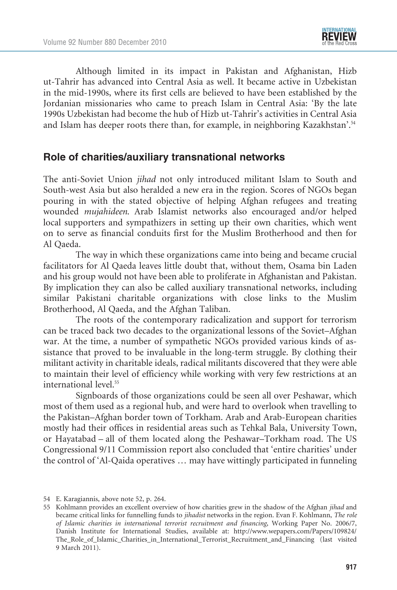

Although limited in its impact in Pakistan and Afghanistan, Hizb ut-Tahrir has advanced into Central Asia as well. It became active in Uzbekistan in the mid-1990s, where its first cells are believed to have been established by the Jordanian missionaries who came to preach Islam in Central Asia: 'By the late 1990s Uzbekistan had become the hub of Hizb ut-Tahrir's activities in Central Asia and Islam has deeper roots there than, for example, in neighboring Kazakhstan'.54

# Role of charities/auxiliary transnational networks

The anti-Soviet Union jihad not only introduced militant Islam to South and South-west Asia but also heralded a new era in the region. Scores of NGOs began pouring in with the stated objective of helping Afghan refugees and treating wounded mujahideen. Arab Islamist networks also encouraged and/or helped local supporters and sympathizers in setting up their own charities, which went on to serve as financial conduits first for the Muslim Brotherhood and then for Al Qaeda.

The way in which these organizations came into being and became crucial facilitators for Al Qaeda leaves little doubt that, without them, Osama bin Laden and his group would not have been able to proliferate in Afghanistan and Pakistan. By implication they can also be called auxiliary transnational networks, including similar Pakistani charitable organizations with close links to the Muslim Brotherhood, Al Qaeda, and the Afghan Taliban.

The roots of the contemporary radicalization and support for terrorism can be traced back two decades to the organizational lessons of the Soviet–Afghan war. At the time, a number of sympathetic NGOs provided various kinds of assistance that proved to be invaluable in the long-term struggle. By clothing their militant activity in charitable ideals, radical militants discovered that they were able to maintain their level of efficiency while working with very few restrictions at an international level.<sup>55</sup>

Signboards of those organizations could be seen all over Peshawar, which most of them used as a regional hub, and were hard to overlook when travelling to the Pakistan–Afghan border town of Torkham. Arab and Arab-European charities mostly had their offices in residential areas such as Tehkal Bala, University Town, or Hayatabad – all of them located along the Peshawar–Torkham road. The US Congressional 9/11 Commission report also concluded that 'entire charities' under the control of 'Al-Qaida operatives … may have wittingly participated in funneling

<sup>54</sup> E. Karagiannis, above note 52, p. 264.

<sup>55</sup> Kohlmann provides an excellent overview of how charities grew in the shadow of the Afghan jihad and became critical links for funnelling funds to jihadist networks in the region. Evan F. Kohlmann, The role of Islamic charities in international terrorist recruitment and financing, Working Paper No. 2006/7, Danish Institute for International Studies, available at: http://www.wepapers.com/Papers/109824/ The\_Role\_of\_Islamic\_Charities\_in\_International\_Terrorist\_Recruitment\_and\_Financing (last visited 9 March 2011).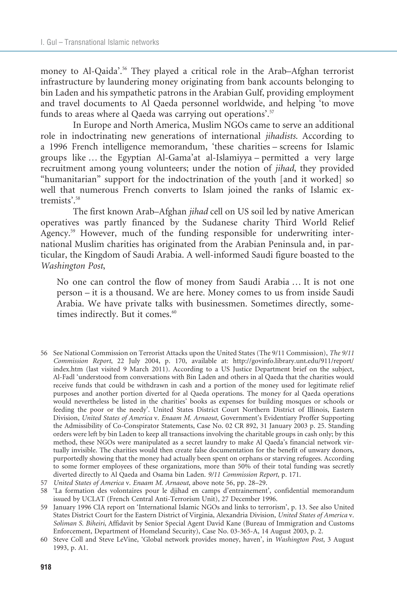money to Al-Qaida'.<sup>56</sup> They played a critical role in the Arab–Afghan terrorist infrastructure by laundering money originating from bank accounts belonging to bin Laden and his sympathetic patrons in the Arabian Gulf, providing employment and travel documents to Al Qaeda personnel worldwide, and helping 'to move funds to areas where al Qaeda was carrying out operations'.<sup>57</sup>

In Europe and North America, Muslim NGOs came to serve an additional role in indoctrinating new generations of international jihadists. According to a 1996 French intelligence memorandum, 'these charities – screens for Islamic groups like … the Egyptian Al-Gama'at al-Islamiyya – permitted a very large recruitment among young volunteers; under the notion of jihad, they provided "humanitarian" support for the indoctrination of the youth [and it worked] so well that numerous French converts to Islam joined the ranks of Islamic extremists'.<sup>58</sup>

The first known Arab–Afghan jihad cell on US soil led by native American operatives was partly financed by the Sudanese charity Third World Relief Agency.<sup>59</sup> However, much of the funding responsible for underwriting international Muslim charities has originated from the Arabian Peninsula and, in particular, the Kingdom of Saudi Arabia. A well-informed Saudi figure boasted to the Washington Post,

No one can control the flow of money from Saudi Arabia … It is not one person – it is a thousand. We are here. Money comes to us from inside Saudi Arabia. We have private talks with businessmen. Sometimes directly, sometimes indirectly. But it comes.<sup>60</sup>

<sup>56</sup> See National Commission on Terrorist Attacks upon the United States (The 9/11 Commission), The 9/11 Commission Report, 22 July 2004, p. 170, available at: http://govinfo.library.unt.edu/911/report/ index.htm (last visited 9 March 2011). According to a US Justice Department brief on the subject, Al-Fadl 'understood from conversations with Bin Laden and others in al Qaeda that the charities would receive funds that could be withdrawn in cash and a portion of the money used for legitimate relief purposes and another portion diverted for al Qaeda operations. The money for al Qaeda operations would nevertheless be listed in the charities' books as expenses for building mosques or schools or feeding the poor or the needy'. United States District Court Northern District of Illinois, Eastern Division, United States of America v. Enaam M. Arnaout, Government's Evidentiary Proffer Supporting the Admissibility of Co-Conspirator Statements, Case No. 02 CR 892, 31 January 2003 p. 25. Standing orders were left by bin Laden to keep all transactions involving the charitable groups in cash only; by this method, these NGOs were manipulated as a secret laundry to make Al Qaeda's financial network virtually invisible. The charities would then create false documentation for the benefit of unwary donors, purportedly showing that the money had actually been spent on orphans or starving refugees. According to some former employees of these organizations, more than 50% of their total funding was secretly diverted directly to Al Qaeda and Osama bin Laden. 9/11 Commission Report, p. 171.

<sup>57</sup> United States of America v. Enaam M. Arnaout, above note 56, pp. 28–29.

<sup>58 &#</sup>x27;La formation des volontaires pour le djihad en camps d'entrainement', confidential memorandum issued by UCLAT (French Central Anti-Terrorism Unit), 27 December 1996.

<sup>59</sup> January 1996 CIA report on 'International Islamic NGOs and links to terrorism', p. 13. See also United States District Court for the Eastern District of Virginia, Alexandria Division, United States of America v. Soliman S. Biheiri, Affidavit by Senior Special Agent David Kane (Bureau of Immigration and Customs Enforcement, Department of Homeland Security), Case No. 03-365-A, 14 August 2003, p. 2.

<sup>60</sup> Steve Coll and Steve LeVine, 'Global network provides money, haven', in Washington Post, 3 August 1993, p. A1.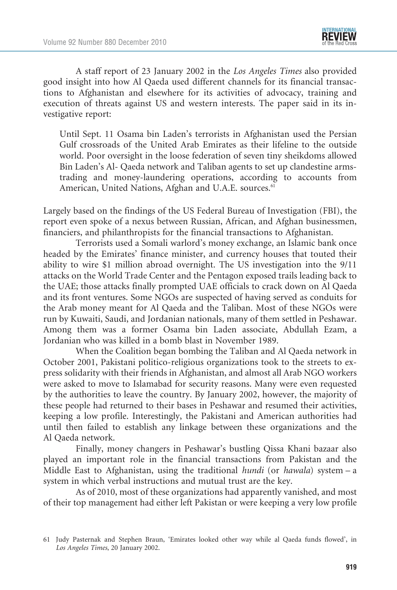A staff report of 23 January 2002 in the Los Angeles Times also provided good insight into how Al Qaeda used different channels for its financial transactions to Afghanistan and elsewhere for its activities of advocacy, training and execution of threats against US and western interests. The paper said in its investigative report:

Until Sept. 11 Osama bin Laden's terrorists in Afghanistan used the Persian Gulf crossroads of the United Arab Emirates as their lifeline to the outside world. Poor oversight in the loose federation of seven tiny sheikdoms allowed Bin Laden's Al- Qaeda network and Taliban agents to set up clandestine armstrading and money-laundering operations, according to accounts from American, United Nations, Afghan and U.A.E. sources.<sup>61</sup>

Largely based on the findings of the US Federal Bureau of Investigation (FBI), the report even spoke of a nexus between Russian, African, and Afghan businessmen, financiers, and philanthropists for the financial transactions to Afghanistan.

Terrorists used a Somali warlord's money exchange, an Islamic bank once headed by the Emirates' finance minister, and currency houses that touted their ability to wire \$1 million abroad overnight. The US investigation into the 9/11 attacks on the World Trade Center and the Pentagon exposed trails leading back to the UAE; those attacks finally prompted UAE officials to crack down on Al Qaeda and its front ventures. Some NGOs are suspected of having served as conduits for the Arab money meant for Al Qaeda and the Taliban. Most of these NGOs were run by Kuwaiti, Saudi, and Jordanian nationals, many of them settled in Peshawar. Among them was a former Osama bin Laden associate, Abdullah Ezam, a Jordanian who was killed in a bomb blast in November 1989.

When the Coalition began bombing the Taliban and Al Qaeda network in October 2001, Pakistani politico-religious organizations took to the streets to express solidarity with their friends in Afghanistan, and almost all Arab NGO workers were asked to move to Islamabad for security reasons. Many were even requested by the authorities to leave the country. By January 2002, however, the majority of these people had returned to their bases in Peshawar and resumed their activities, keeping a low profile. Interestingly, the Pakistani and American authorities had until then failed to establish any linkage between these organizations and the Al Qaeda network.

Finally, money changers in Peshawar's bustling Qissa Khani bazaar also played an important role in the financial transactions from Pakistan and the Middle East to Afghanistan, using the traditional hundi (or hawala) system  $-$  a system in which verbal instructions and mutual trust are the key.

As of 2010, most of these organizations had apparently vanished, and most of their top management had either left Pakistan or were keeping a very low profile

<sup>61</sup> Judy Pasternak and Stephen Braun, 'Emirates looked other way while al Qaeda funds flowed', in Los Angeles Times, 20 January 2002.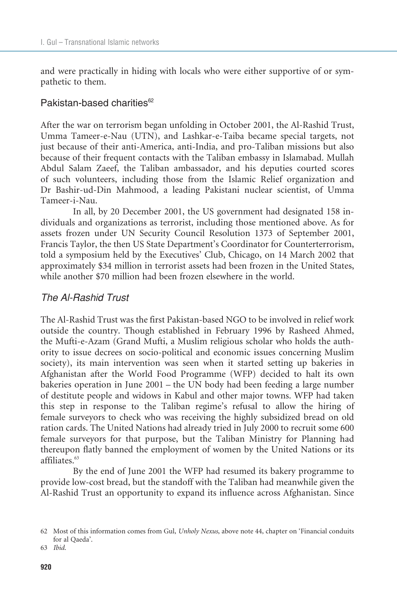and were practically in hiding with locals who were either supportive of or sympathetic to them.

# Pakistan-based charities<sup>62</sup>

After the war on terrorism began unfolding in October 2001, the Al-Rashid Trust, Umma Tameer-e-Nau (UTN), and Lashkar-e-Taiba became special targets, not just because of their anti-America, anti-India, and pro-Taliban missions but also because of their frequent contacts with the Taliban embassy in Islamabad. Mullah Abdul Salam Zaeef, the Taliban ambassador, and his deputies courted scores of such volunteers, including those from the Islamic Relief organization and Dr Bashir-ud-Din Mahmood, a leading Pakistani nuclear scientist, of Umma Tameer-i-Nau.

In all, by 20 December 2001, the US government had designated 158 individuals and organizations as terrorist, including those mentioned above. As for assets frozen under UN Security Council Resolution 1373 of September 2001, Francis Taylor, the then US State Department's Coordinator for Counterterrorism, told a symposium held by the Executives' Club, Chicago, on 14 March 2002 that approximately \$34 million in terrorist assets had been frozen in the United States, while another \$70 million had been frozen elsewhere in the world.

# The Al-Rashid Trust

The Al-Rashid Trust was the first Pakistan-based NGO to be involved in relief work outside the country. Though established in February 1996 by Rasheed Ahmed, the Mufti-e-Azam (Grand Mufti, a Muslim religious scholar who holds the authority to issue decrees on socio-political and economic issues concerning Muslim society), its main intervention was seen when it started setting up bakeries in Afghanistan after the World Food Programme (WFP) decided to halt its own bakeries operation in June 2001 – the UN body had been feeding a large number of destitute people and widows in Kabul and other major towns. WFP had taken this step in response to the Taliban regime's refusal to allow the hiring of female surveyors to check who was receiving the highly subsidized bread on old ration cards. The United Nations had already tried in July 2000 to recruit some 600 female surveyors for that purpose, but the Taliban Ministry for Planning had thereupon flatly banned the employment of women by the United Nations or its affiliates<sup>63</sup>

By the end of June 2001 the WFP had resumed its bakery programme to provide low-cost bread, but the standoff with the Taliban had meanwhile given the Al-Rashid Trust an opportunity to expand its influence across Afghanistan. Since

<sup>62</sup> Most of this information comes from Gul, Unholy Nexus, above note 44, chapter on 'Financial conduits for al Qaeda'.

<sup>63</sup> Ibid.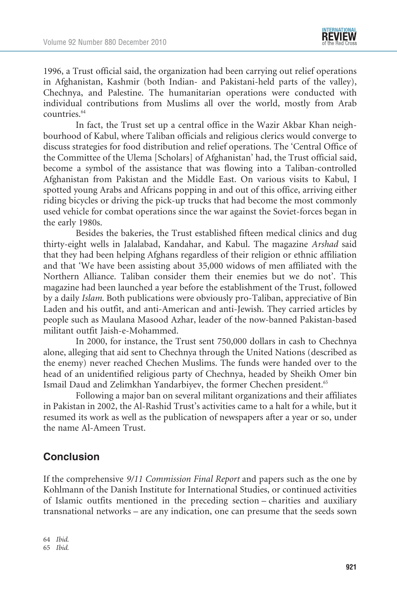1996, a Trust official said, the organization had been carrying out relief operations in Afghanistan, Kashmir (both Indian- and Pakistani-held parts of the valley), Chechnya, and Palestine. The humanitarian operations were conducted with individual contributions from Muslims all over the world, mostly from Arab countries.<sup>64</sup>

In fact, the Trust set up a central office in the Wazir Akbar Khan neighbourhood of Kabul, where Taliban officials and religious clerics would converge to discuss strategies for food distribution and relief operations. The 'Central Office of the Committee of the Ulema [Scholars] of Afghanistan' had, the Trust official said, become a symbol of the assistance that was flowing into a Taliban-controlled Afghanistan from Pakistan and the Middle East. On various visits to Kabul, I spotted young Arabs and Africans popping in and out of this office, arriving either riding bicycles or driving the pick-up trucks that had become the most commonly used vehicle for combat operations since the war against the Soviet-forces began in the early 1980s.

Besides the bakeries, the Trust established fifteen medical clinics and dug thirty-eight wells in Jalalabad, Kandahar, and Kabul. The magazine Arshad said that they had been helping Afghans regardless of their religion or ethnic affiliation and that 'We have been assisting about 35,000 widows of men affiliated with the Northern Alliance. Taliban consider them their enemies but we do not'. This magazine had been launched a year before the establishment of the Trust, followed by a daily Islam. Both publications were obviously pro-Taliban, appreciative of Bin Laden and his outfit, and anti-American and anti-Jewish. They carried articles by people such as Maulana Masood Azhar, leader of the now-banned Pakistan-based militant outfit Jaish-e-Mohammed.

In 2000, for instance, the Trust sent 750,000 dollars in cash to Chechnya alone, alleging that aid sent to Chechnya through the United Nations (described as the enemy) never reached Chechen Muslims. The funds were handed over to the head of an unidentified religious party of Chechnya, headed by Sheikh Omer bin Ismail Daud and Zelimkhan Yandarbiyev, the former Chechen president.<sup>65</sup>

Following a major ban on several militant organizations and their affiliates in Pakistan in 2002, the Al-Rashid Trust's activities came to a halt for a while, but it resumed its work as well as the publication of newspapers after a year or so, under the name Al-Ameen Trust.

# Conclusion

If the comprehensive 9/11 Commission Final Report and papers such as the one by Kohlmann of the Danish Institute for International Studies, or continued activities of Islamic outfits mentioned in the preceding section – charities and auxiliary transnational networks – are any indication, one can presume that the seeds sown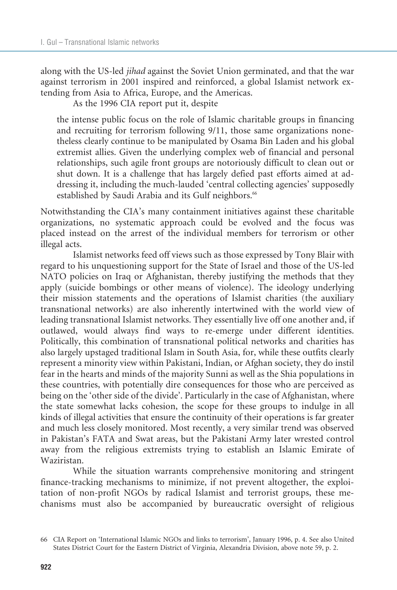along with the US-led *jihad* against the Soviet Union germinated, and that the war against terrorism in 2001 inspired and reinforced, a global Islamist network extending from Asia to Africa, Europe, and the Americas.

As the 1996 CIA report put it, despite

the intense public focus on the role of Islamic charitable groups in financing and recruiting for terrorism following 9/11, those same organizations nonetheless clearly continue to be manipulated by Osama Bin Laden and his global extremist allies. Given the underlying complex web of financial and personal relationships, such agile front groups are notoriously difficult to clean out or shut down. It is a challenge that has largely defied past efforts aimed at addressing it, including the much-lauded 'central collecting agencies' supposedly established by Saudi Arabia and its Gulf neighbors.<sup>66</sup>

Notwithstanding the CIA's many containment initiatives against these charitable organizations, no systematic approach could be evolved and the focus was placed instead on the arrest of the individual members for terrorism or other illegal acts.

Islamist networks feed off views such as those expressed by Tony Blair with regard to his unquestioning support for the State of Israel and those of the US-led NATO policies on Iraq or Afghanistan, thereby justifying the methods that they apply (suicide bombings or other means of violence). The ideology underlying their mission statements and the operations of Islamist charities (the auxiliary transnational networks) are also inherently intertwined with the world view of leading transnational Islamist networks. They essentially live off one another and, if outlawed, would always find ways to re-emerge under different identities. Politically, this combination of transnational political networks and charities has also largely upstaged traditional Islam in South Asia, for, while these outfits clearly represent a minority view within Pakistani, Indian, or Afghan society, they do instil fear in the hearts and minds of the majority Sunni as well as the Shia populations in these countries, with potentially dire consequences for those who are perceived as being on the 'other side of the divide'. Particularly in the case of Afghanistan, where the state somewhat lacks cohesion, the scope for these groups to indulge in all kinds of illegal activities that ensure the continuity of their operations is far greater and much less closely monitored. Most recently, a very similar trend was observed in Pakistan's FATA and Swat areas, but the Pakistani Army later wrested control away from the religious extremists trying to establish an Islamic Emirate of Waziristan.

While the situation warrants comprehensive monitoring and stringent finance-tracking mechanisms to minimize, if not prevent altogether, the exploitation of non-profit NGOs by radical Islamist and terrorist groups, these mechanisms must also be accompanied by bureaucratic oversight of religious

<sup>66</sup> CIA Report on 'International Islamic NGOs and links to terrorism', January 1996, p. 4. See also United States District Court for the Eastern District of Virginia, Alexandria Division, above note 59, p. 2.